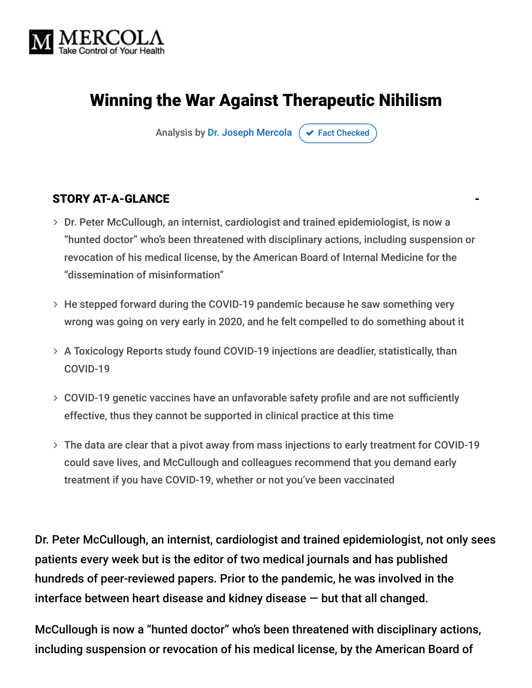

# Winning the War Against Therapeutic Nihilism

Analysis by [Dr. Joseph Mercola](https://www.mercola.com/forms/background.htm)  $\sigma$  [Fact Checked](javascript:void(0))

#### STORY AT-A-GLANCE

- Dr. Peter McCullough, an internist, cardiologist and trained epidemiologist, is now a "hunted doctor" who's been threatened with disciplinary actions, including suspension or revocation of his medical license, by the American Board of Internal Medicine for the "dissemination of misinformation"
- He stepped forward during the COVID-19 pandemic because he saw something very wrong was going on very early in 2020, and he felt compelled to do something about it
- A Toxicology Reports study found COVID-19 injections are deadlier, statistically, than COVID-19
- COVID-19 genetic vaccines have an unfavorable safety profile and are not sufficiently effective, thus they cannot be supported in clinical practice at this time
- The data are clear that a pivot away from mass injections to early treatment for COVID-19 could save lives, and McCullough and colleagues recommend that you demand early treatment if you have COVID-19, whether or not you've been vaccinated

Dr. Peter McCullough, an internist, cardiologist and trained epidemiologist, not only sees patients every week but is the editor of two medical journals and has published hundreds of peer-reviewed papers. Prior to the pandemic, he was involved in the interface between heart disease and kidney disease — but that all changed.

McCullough is now a "hunted doctor" who's been threatened with disciplinary actions, including suspension or revocation of his medical license, by the American Board of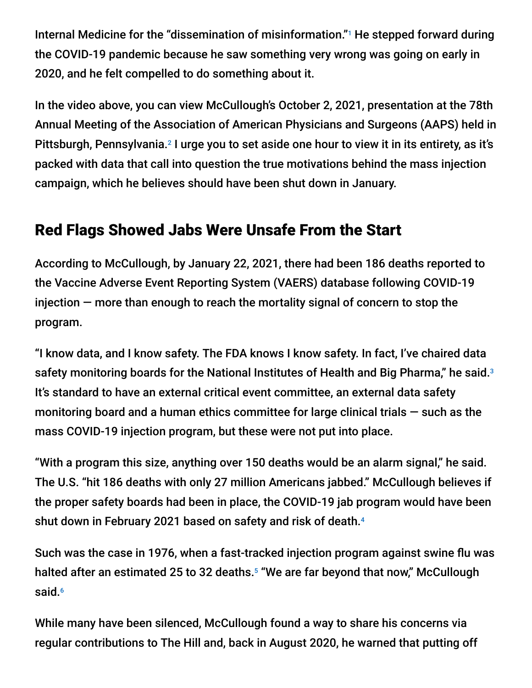Internal Medicine for the "dissemination of misinformation."<sup>1</sup> He stepped forward during the COVID-19 pandemic because he saw something very wrong was going on early in 2020, and he felt compelled to do something about it.

In the video above, you can view McCullough's October 2, 2021, presentation at the 78th Annual Meeting of the Association of American Physicians and Surgeons (AAPS) held in Pittsburgh, Pennsylvania.<sup>2</sup> I urge you to set aside one hour to view it in its entirety, as it's packed with data that call into question the true motivations behind the mass injection campaign, which he believes should have been shut down in January.

### Red Flags Showed Jabs Were Unsafe From the Start

According to McCullough, by January 22, 2021, there had been 186 deaths reported to the Vaccine Adverse Event Reporting System (VAERS) database following COVID-19 injection — more than enough to reach the mortality signal of concern to stop the program.

"I know data, and I know safety. The FDA knows I know safety. In fact, I've chaired data safety monitoring boards for the National Institutes of Health and Big Pharma," he said. $^3$ It's standard to have an external critical event committee, an external data safety monitoring board and a human ethics committee for large clinical trials  $-$  such as the mass COVID-19 injection program, but these were not put into place.

"With a program this size, anything over 150 deaths would be an alarm signal," he said. The U.S. "hit 186 deaths with only 27 million Americans jabbed." McCullough believes if the proper safety boards had been in place, the COVID-19 jab program would have been shut down in February 2021 based on safety and risk of death. 4

Such was the case in 1976, when a fast-tracked injection program against swine flu was halted after an estimated 25 to 32 deaths.<sup>5</sup> "We are far beyond that now," McCullough said. 6

While many have been silenced, McCullough found a way to share his concerns via regular contributions to The Hill and, back in August 2020, he warned that putting off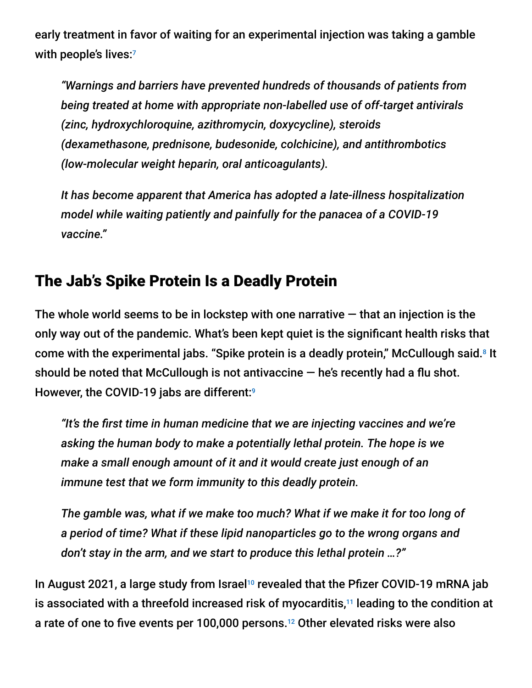early treatment in favor of waiting for an experimental injection was taking a gamble with people's lives: 7

*"Warnings and barriers have prevented hundreds of thousands of patients from being treated at home with appropriate non-labelled use of off-target antivirals (zinc, hydroxychloroquine, azithromycin, doxycycline), steroids (dexamethasone, prednisone, budesonide, colchicine), and antithrombotics (low-molecular weight heparin, oral anticoagulants).*

*It has become apparent that America has adopted a late-illness hospitalization model while waiting patiently and painfully for the panacea of a COVID-19 vaccine."*

## The Jab's Spike Protein Is a Deadly Protein

The whole world seems to be in lockstep with one narrative  $-$  that an injection is the only way out of the pandemic. What's been kept quiet is the significant health risks that come with the experimental jabs. "Spike protein is a deadly protein," McCullough said. $8$  It should be noted that McCullough is not antivaccine  $-$  he's recently had a flu shot. However, the COVID-19 jabs are different: 9

*"It's the first time in human medicine that we are injecting vaccines and we're asking the human body to make a potentially lethal protein. The hope is we make a small enough amount of it and it would create just enough of an immune test that we form immunity to this deadly protein.*

*The gamble was, what if we make too much? What if we make it for too long of a period of time? What if these lipid nanoparticles go to the wrong organs and don't stay in the arm, and we start to produce this lethal protein …?"*

In August 2021, a large study from Israel<sup>10</sup> revealed that the Pfizer COVID-19 mRNA jab is associated with a threefold increased risk of myocarditis, $11$  leading to the condition at a rate of one to five events per 100,000 persons.<sup>12</sup> Other elevated risks were also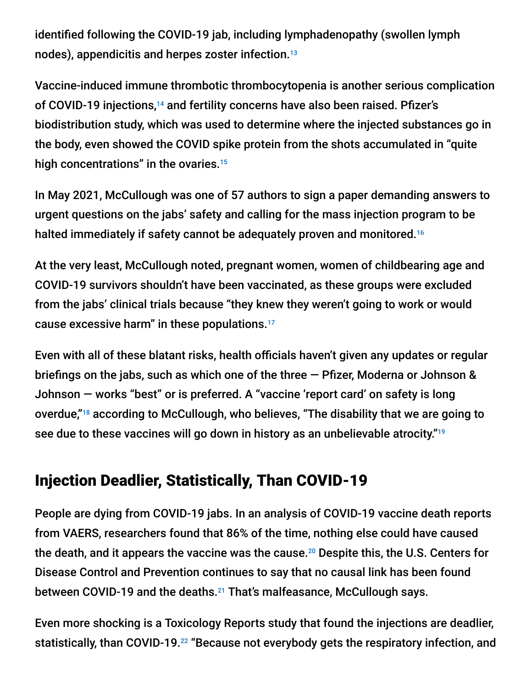identified following the COVID-19 jab, including lymphadenopathy (swollen lymph nodes), appendicitis and herpes zoster infection. 13

Vaccine-induced immune thrombotic thrombocytopenia is another serious complication of COVID-19 injections,<sup>14</sup> and fertility concerns have also been raised. Pfizer's biodistribution study, which was used to determine where the injected substances go in the body, even showed the COVID spike protein from the shots accumulated in "quite high concentrations" in the ovaries. 15

In May 2021, McCullough was one of 57 authors to sign a paper demanding answers to urgent questions on the jabs' safety and calling for the mass injection program to be halted immediately if safety cannot be adequately proven and monitored.<sup>16</sup>

At the very least, McCullough noted, pregnant women, women of childbearing age and COVID-19 survivors shouldn't have been vaccinated, as these groups were excluded from the jabs' clinical trials because "they knew they weren't going to work or would cause excessive harm" in these populations. 17

Even with all of these blatant risks, health officials haven't given any updates or regular briefings on the jabs, such as which one of the three — Pfizer, Moderna or Johnson & Johnson — works "best" or is preferred. A "vaccine 'report card' on safety is long overdue,"<sup>18</sup> according to McCullough, who believes, "The disability that we are going to see due to these vaccines will go down in history as an unbelievable atrocity." 19

## Injection Deadlier, Statistically, Than COVID-19

People are dying from COVID-19 jabs. In an analysis of COVID-19 vaccine death reports from VAERS, researchers found that 86% of the time, nothing else could have caused the death, and it appears the vaccine was the cause. $^{20}$  Despite this, the U.S. Centers for Disease Control and Prevention continues to say that no causal link has been found between COVID-19 and the deaths.<sup>21</sup> That's malfeasance, McCullough says.

Even more shocking is a Toxicology Reports study that found the injections are deadlier, statistically, than COVID-19.<sup>22</sup> "Because not everybody gets the respiratory infection, and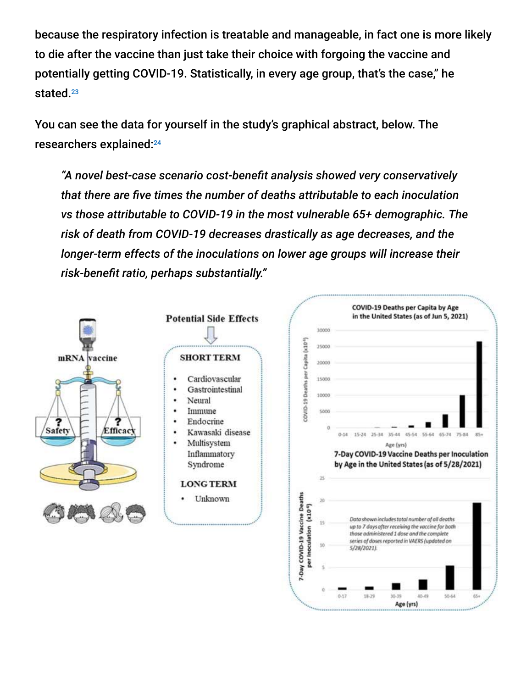because the respiratory infection is treatable and manageable, in fact one is more likely to die after the vaccine than just take their choice with forgoing the vaccine and potentially getting COVID-19. Statistically, in every age group, that's the case," he stated. 23

You can see the data for yourself in the study's graphical abstract, below. The researchers explained: 24

*"A novel best-case scenario cost-benefit analysis showed very conservatively that there are five times the number of deaths attributable to each inoculation vs those attributable to COVID-19 in the most vulnerable 65+ demographic. The risk of death from COVID-19 decreases drastically as age decreases, and the longer-term effects of the inoculations on lower age groups will increase their risk-benefit ratio, perhaps substantially."*





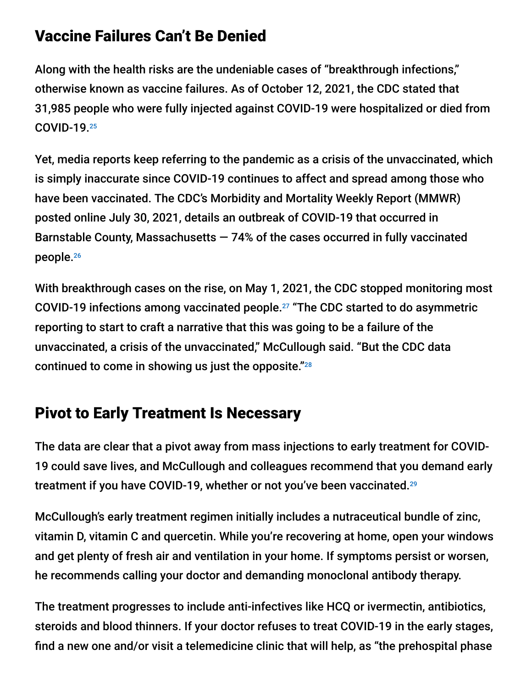## Vaccine Failures Can't Be Denied

Along with the health risks are the undeniable cases of "breakthrough infections," otherwise known as vaccine failures. As of October 12, 2021, the CDC stated that 31,985 people who were fully injected against COVID-19 were hospitalized or died from COVID-19. 25

Yet, media reports keep referring to the pandemic as a crisis of the unvaccinated, which is simply inaccurate since COVID-19 continues to affect and spread among those who have been vaccinated. The CDC's Morbidity and Mortality Weekly Report (MMWR) posted online July 30, 2021, details an outbreak of COVID-19 that occurred in Barnstable County, Massachusetts  $-74%$  of the cases occurred in fully vaccinated people. 26

With breakthrough cases on the rise, on May 1, 2021, the CDC stopped monitoring most COVID-19 infections among vaccinated people. $27$  "The CDC started to do asymmetric reporting to start to craft a narrative that this was going to be a failure of the unvaccinated, a crisis of the unvaccinated," McCullough said. "But the CDC data continued to come in showing us just the opposite." 28

## Pivot to Early Treatment Is Necessary

The data are clear that a pivot away from mass injections to early treatment for COVID-19 could save lives, and McCullough and colleagues recommend that you demand early treatment if you have COVID-19, whether or not you've been vaccinated. 29

McCullough's early treatment regimen initially includes a nutraceutical bundle of zinc, vitamin D, vitamin C and quercetin. While you're recovering at home, open your windows and get plenty of fresh air and ventilation in your home. If symptoms persist or worsen, he recommends calling your doctor and demanding monoclonal antibody therapy.

The treatment progresses to include anti-infectives like HCQ or ivermectin, antibiotics, steroids and blood thinners. If your doctor refuses to treat COVID-19 in the early stages, find a new one and/or visit a telemedicine clinic that will help, as "the prehospital phase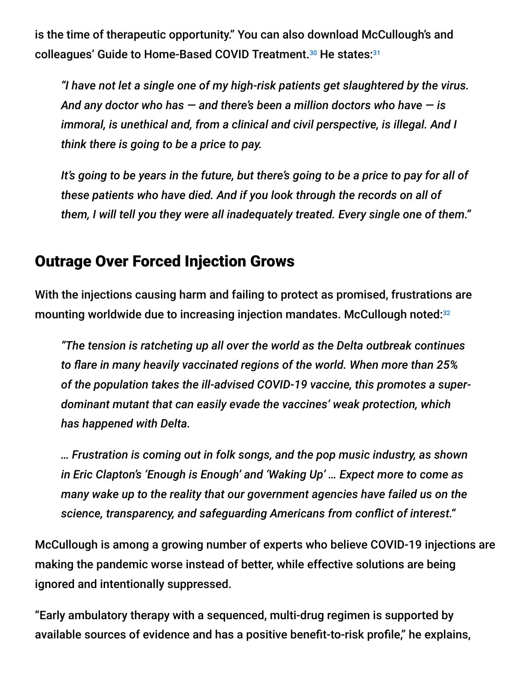is the time of therapeutic opportunity." You can also download McCullough's and colleagues' Guide to Home-Based COVID Treatment.<sup>30</sup> He states:<sup>31</sup>

*"I have not let a single one of my high-risk patients get slaughtered by the virus. And any doctor who has — and there's been a million doctors who have — is immoral, is unethical and, from a clinical and civil perspective, is illegal. And I think there is going to be a price to pay.*

*It's going to be years in the future, but there's going to be a price to pay for all of these patients who have died. And if you look through the records on all of them, I will tell you they were all inadequately treated. Every single one of them."*

#### Outrage Over Forced Injection Grows

With the injections causing harm and failing to protect as promised, frustrations are mounting worldwide due to increasing injection mandates. McCullough noted: 32

*"The tension is ratcheting up all over the world as the Delta outbreak continues to flare in many heavily vaccinated regions of the world. When more than 25% of the population takes the ill-advised COVID-19 vaccine, this promotes a superdominant mutant that can easily evade the vaccines' weak protection, which has happened with Delta.*

*… Frustration is coming out in folk songs, and the pop music industry, as shown in Eric Clapton's 'Enough is Enough' and 'Waking Up' … Expect more to come as many wake up to the reality that our government agencies have failed us on the science, transparency, and safeguarding Americans from conflict of interest."*

McCullough is among a growing number of experts who believe COVID-19 injections are making the pandemic worse instead of better, while effective solutions are being ignored and intentionally suppressed.

"Early ambulatory therapy with a sequenced, multi-drug regimen is supported by available sources of evidence and has a positive benefit-to-risk profile," he explains,